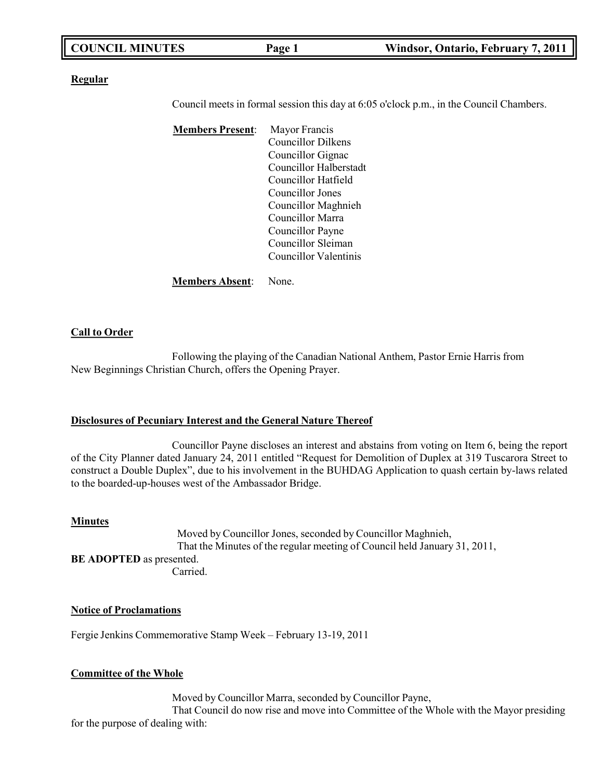| <b>COUNCIL MINUTES</b> | Page 1 | Windsor, Ontario, February 7, 2011 |
|------------------------|--------|------------------------------------|
|                        |        |                                    |

**Regular**

Council meets in formal session this day at 6:05 o'clock p.m., in the Council Chambers.

**Members Present**: Mayor Francis Councillor Dilkens Councillor Gignac Councillor Halberstadt Councillor Hatfield Councillor Jones Councillor Maghnieh Councillor Marra Councillor Payne Councillor Sleiman Councillor Valentinis

#### **Members Absent**: None.

#### **Call to Order**

Following the playing of the Canadian National Anthem, Pastor Ernie Harris from New Beginnings Christian Church, offers the Opening Prayer.

#### **Disclosures of Pecuniary Interest and the General Nature Thereof**

Councillor Payne discloses an interest and abstains from voting on Item 6, being the report of the City Planner dated January 24, 2011 entitled "Request for Demolition of Duplex at 319 Tuscarora Street to construct a Double Duplex", due to his involvement in the BUHDAG Application to quash certain by-laws related to the boarded-up-houses west of the Ambassador Bridge.

#### **Minutes**

Moved by Councillor Jones, seconded by Councillor Maghnieh, That the Minutes of the regular meeting of Council held January 31, 2011, **BE ADOPTED** as presented. Carried.

#### **Notice of Proclamations**

Fergie Jenkins Commemorative Stamp Week – February 13-19, 2011

#### **Committee of the Whole**

Moved by Councillor Marra, seconded by Councillor Payne, That Council do now rise and move into Committee of the Whole with the Mayor presiding for the purpose of dealing with: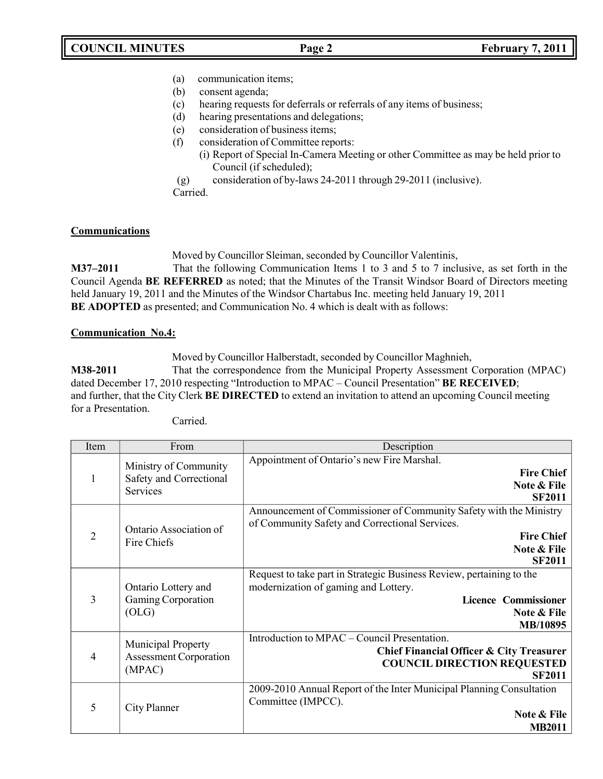- (a) communication items;
- (b) consent agenda;
- (c) hearing requests for deferrals or referrals of any items of business;
- (d) hearing presentations and delegations;
- (e) consideration of business items;
- (f) consideration of Committee reports:
	- (i) Report of Special In-Camera Meeting or other Committee as may be held prior to Council (if scheduled);
- (g) consideration of by-laws 24-2011 through 29-2011 (inclusive).

Carried.

## **Communications**

Moved by Councillor Sleiman, seconded by Councillor Valentinis,

**M37–2011** That the following Communication Items 1 to 3 and 5 to 7 inclusive, as set forth in the Council Agenda **BE REFERRED** as noted; that the Minutes of the Transit Windsor Board of Directors meeting held January 19, 2011 and the Minutes of the Windsor Chartabus Inc. meeting held January 19, 2011 **BE ADOPTED** as presented; and Communication No. 4 which is dealt with as follows:

## **Communication No.4:**

Moved by Councillor Halberstadt, seconded by Councillor Maghnieh, **M38-2011** That the correspondence from the Municipal Property Assessment Corporation (MPAC) dated December 17, 2010 respecting "Introduction to MPAC – Council Presentation" **BE RECEIVED**; and further, that the City Clerk **BE DIRECTED** to extend an invitation to attend an upcoming Council meeting for a Presentation.

Carried.

| Item           | From                                                          | Description                                                                                                                                                               |
|----------------|---------------------------------------------------------------|---------------------------------------------------------------------------------------------------------------------------------------------------------------------------|
| 1              | Ministry of Community<br>Safety and Correctional<br>Services  | Appointment of Ontario's new Fire Marshal.<br><b>Fire Chief</b><br>Note & File<br><b>SF2011</b>                                                                           |
| $\overline{2}$ | Ontario Association of<br>Fire Chiefs                         | Announcement of Commissioner of Community Safety with the Ministry<br>of Community Safety and Correctional Services.<br><b>Fire Chief</b><br>Note & File<br><b>SF2011</b> |
| $\overline{3}$ | Ontario Lottery and<br>Gaming Corporation<br>(OLG)            | Request to take part in Strategic Business Review, pertaining to the<br>modernization of gaming and Lottery.<br><b>Licence Commissioner</b><br>Note & File<br>MB/10895    |
| 4              | Municipal Property<br><b>Assessment Corporation</b><br>(MPAC) | Introduction to MPAC – Council Presentation.<br><b>Chief Financial Officer &amp; City Treasurer</b><br><b>COUNCIL DIRECTION REQUESTED</b><br><b>SF2011</b>                |
| 5              | City Planner                                                  | 2009-2010 Annual Report of the Inter Municipal Planning Consultation<br>Committee (IMPCC).<br>Note & File<br><b>MB2011</b>                                                |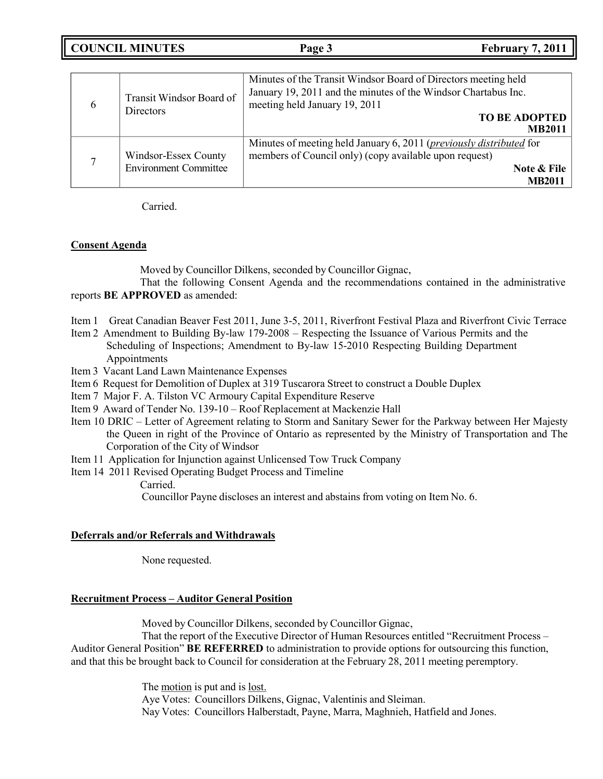**COUNCIL MINUTES Page 3 February 7, 2011**

| 6 | Transit Windsor Board of<br><b>Directors</b>         | Minutes of the Transit Windsor Board of Directors meeting held<br>January 19, 2011 and the minutes of the Windsor Chartabus Inc.<br>meeting held January 19, 2011<br><b>TO BE ADOPTED</b><br><b>MB2011</b> |
|---|------------------------------------------------------|------------------------------------------------------------------------------------------------------------------------------------------------------------------------------------------------------------|
| ⇁ | Windsor-Essex County<br><b>Environment Committee</b> | Minutes of meeting held January 6, 2011 ( <i>previously distributed</i> for<br>members of Council only) (copy available upon request)<br>Note & File<br><b>MB201</b>                                       |

Carried.

## **Consent Agenda**

Moved by Councillor Dilkens, seconded by Councillor Gignac,

That the following Consent Agenda and the recommendations contained in the administrative reports **BE APPROVED** as amended:

- Item 1 Great Canadian Beaver Fest 2011, June 3-5, 2011, Riverfront Festival Plaza and Riverfront Civic Terrace
- Item 2 Amendment to Building By-law 179-2008 Respecting the Issuance of Various Permits and the Scheduling of Inspections; Amendment to By-law 15-2010 Respecting Building Department Appointments
- Item 3 Vacant Land Lawn Maintenance Expenses
- Item 6 Request for Demolition of Duplex at 319 Tuscarora Street to construct a Double Duplex
- Item 7 Major F. A. Tilston VC Armoury Capital Expenditure Reserve
- Item 9 Award of Tender No. 139-10 Roof Replacement at Mackenzie Hall
- Item 10 DRIC Letter of Agreement relating to Storm and Sanitary Sewer for the Parkway between Her Majesty the Queen in right of the Province of Ontario as represented by the Ministry of Transportation and The Corporation of the City of Windsor
- Item 11 Application for Injunction against Unlicensed Tow Truck Company
- Item 14 2011 Revised Operating Budget Process and Timeline

Carried.

Councillor Payne discloses an interest and abstains from voting on Item No. 6.

## **Deferrals and/or Referrals and Withdrawals**

None requested.

## **Recruitment Process – Auditor General Position**

Moved by Councillor Dilkens, seconded by Councillor Gignac,

That the report of the Executive Director of Human Resources entitled "Recruitment Process – Auditor General Position" **BE REFERRED** to administration to provide options for outsourcing this function, and that this be brought back to Council for consideration at the February 28, 2011 meeting peremptory.

> The motion is put and is <u>lost.</u> Aye Votes: Councillors Dilkens, Gignac, Valentinis and Sleiman. Nay Votes: Councillors Halberstadt, Payne, Marra, Maghnieh, Hatfield and Jones.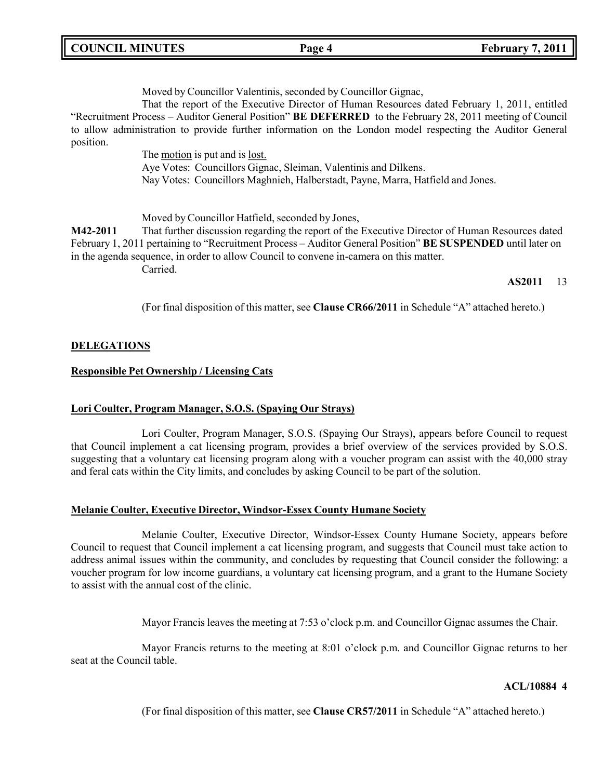| <b>COUNCIL MINUTES</b> |
|------------------------|
|------------------------|

Moved by Councillor Valentinis, seconded by Councillor Gignac,

That the report of the Executive Director of Human Resources dated February 1, 2011, entitled "Recruitment Process – Auditor General Position" **BE DEFERRED** to the February 28, 2011 meeting of Council to allow administration to provide further information on the London model respecting the Auditor General position.

> The motion is put and is lost. Aye Votes: Councillors Gignac, Sleiman, Valentinis and Dilkens. Nay Votes: Councillors Maghnieh, Halberstadt, Payne, Marra, Hatfield and Jones.

Moved by Councillor Hatfield, seconded by Jones,

**M42-2011** That further discussion regarding the report of the Executive Director of Human Resources dated February 1, 2011 pertaining to "Recruitment Process – Auditor General Position" **BE SUSPENDED** until later on in the agenda sequence, in order to allow Council to convene in-camera on this matter.

Carried.

#### **AS2011** 13

(For final disposition of this matter, see **Clause CR66/2011** in Schedule "A" attached hereto.)

## **DELEGATIONS**

#### **Responsible Pet Ownership / Licensing Cats**

## **Lori Coulter, Program Manager, S.O.S. (Spaying Our Strays)**

Lori Coulter, Program Manager, S.O.S. (Spaying Our Strays), appears before Council to request that Council implement a cat licensing program, provides a brief overview of the services provided by S.O.S. suggesting that a voluntary cat licensing program along with a voucher program can assist with the 40,000 stray and feral cats within the City limits, and concludes by asking Council to be part of the solution.

#### **Melanie Coulter, Executive Director, Windsor-Essex County Humane Society**

Melanie Coulter, Executive Director, Windsor-Essex County Humane Society, appears before Council to request that Council implement a cat licensing program, and suggests that Council must take action to address animal issues within the community, and concludes by requesting that Council consider the following: a voucher program for low income guardians, a voluntary cat licensing program, and a grant to the Humane Society to assist with the annual cost of the clinic.

Mayor Francis leaves the meeting at 7:53 o'clock p.m. and Councillor Gignac assumes the Chair.

Mayor Francis returns to the meeting at 8:01 o'clock p.m. and Councillor Gignac returns to her seat at the Council table.

#### **ACL/10884 4**

(For final disposition of this matter, see **Clause CR57/2011** in Schedule "A" attached hereto.)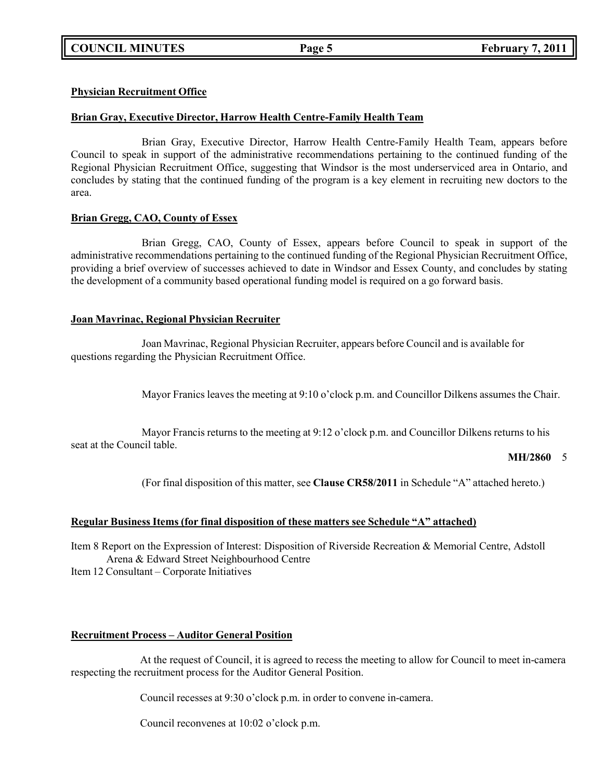## **Physician Recruitment Office**

## **Brian Gray, Executive Director, Harrow Health Centre-Family Health Team**

Brian Gray, Executive Director, Harrow Health Centre-Family Health Team, appears before Council to speak in support of the administrative recommendations pertaining to the continued funding of the Regional Physician Recruitment Office, suggesting that Windsor is the most underserviced area in Ontario, and concludes by stating that the continued funding of the program is a key element in recruiting new doctors to the area.

## **Brian Gregg, CAO, County of Essex**

Brian Gregg, CAO, County of Essex, appears before Council to speak in support of the administrative recommendations pertaining to the continued funding of the Regional Physician Recruitment Office, providing a brief overview of successes achieved to date in Windsor and Essex County, and concludes by stating the development of a community based operational funding model is required on a go forward basis.

## **Joan Mavrinac, Regional Physician Recruiter**

Joan Mavrinac, Regional Physician Recruiter, appears before Council and is available for questions regarding the Physician Recruitment Office.

Mayor Franics leaves the meeting at 9:10 o'clock p.m. and Councillor Dilkens assumes the Chair.

Mayor Francis returns to the meeting at 9:12 o'clock p.m. and Councillor Dilkens returns to his seat at the Council table.

## **MH/2860** 5

(For final disposition of this matter, see **Clause CR58/2011** in Schedule "A" attached hereto.)

## **Regular Business Items (for final disposition of these matters see Schedule "A" attached)**

Item 8 Report on the Expression of Interest: Disposition of Riverside Recreation & Memorial Centre, Adstoll Arena & Edward Street Neighbourhood Centre

Item 12 Consultant – Corporate Initiatives

## **Recruitment Process – Auditor General Position**

At the request of Council, it is agreed to recess the meeting to allow for Council to meet in-camera respecting the recruitment process for the Auditor General Position.

Council recesses at 9:30 o'clock p.m. in order to convene in-camera.

Council reconvenes at 10:02 o'clock p.m.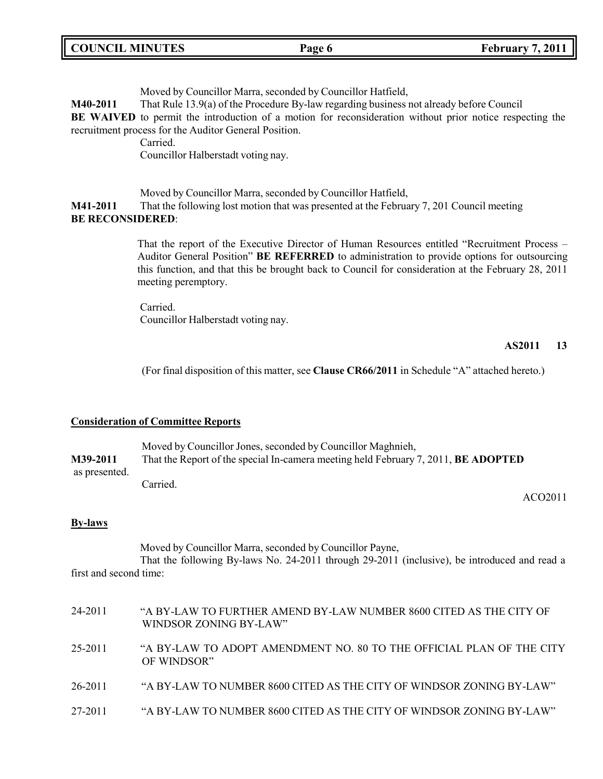| <b>COUNCIL MINUTES</b> | Page 6 | <b>February 7, 2011</b> |
|------------------------|--------|-------------------------|
|                        |        |                         |

Moved by Councillor Marra, seconded by Councillor Hatfield,

**M40-2011** That Rule 13.9(a) of the Procedure By-law regarding business not already before Council

**BE WAIVED** to permit the introduction of a motion for reconsideration without prior notice respecting the recruitment process for the Auditor General Position.

Carried.

Councillor Halberstadt voting nay.

Moved by Councillor Marra, seconded by Councillor Hatfield,

**M41-2011** That the following lost motion that was presented at the February 7, 201 Council meeting **BE RECONSIDERED**:

> That the report of the Executive Director of Human Resources entitled "Recruitment Process – Auditor General Position" **BE REFERRED** to administration to provide options for outsourcing this function, and that this be brought back to Council for consideration at the February 28, 2011 meeting peremptory.

Carried. Councillor Halberstadt voting nay.

## **AS2011 13**

(For final disposition of this matter, see **Clause CR66/2011** in Schedule "A" attached hereto.)

## **Consideration of Committee Reports**

|               | Moved by Councillor Jones, seconded by Councillor Maghnieh,                               |  |
|---------------|-------------------------------------------------------------------------------------------|--|
| M39-2011      | That the Report of the special In-camera meeting held February 7, 2011, <b>BE ADOPTED</b> |  |
| as presented. |                                                                                           |  |
|               | Carried.                                                                                  |  |

ACO2011

#### **By-laws**

Moved by Councillor Marra, seconded by Councillor Payne,

That the following By-laws No. 24-2011 through 29-2011 (inclusive), be introduced and read a first and second time:

| 24-2011 | "A BY-LAW TO FURTHER AMEND BY-LAW NUMBER 8600 CITED AS THE CITY OF<br>WINDSOR ZONING BY-LAW" |
|---------|----------------------------------------------------------------------------------------------|
| 25-2011 | "A BY-LAW TO ADOPT AMENDMENT NO. 80 TO THE OFFICIAL PLAN OF THE CITY<br>OF WINDSOR"          |
| 26-2011 | "A BY-LAW TO NUMBER 8600 CITED AS THE CITY OF WINDSOR ZONING BY-LAW"                         |
| 27-2011 | "A BY-LAW TO NUMBER 8600 CITED AS THE CITY OF WINDSOR ZONING BY-LAW"                         |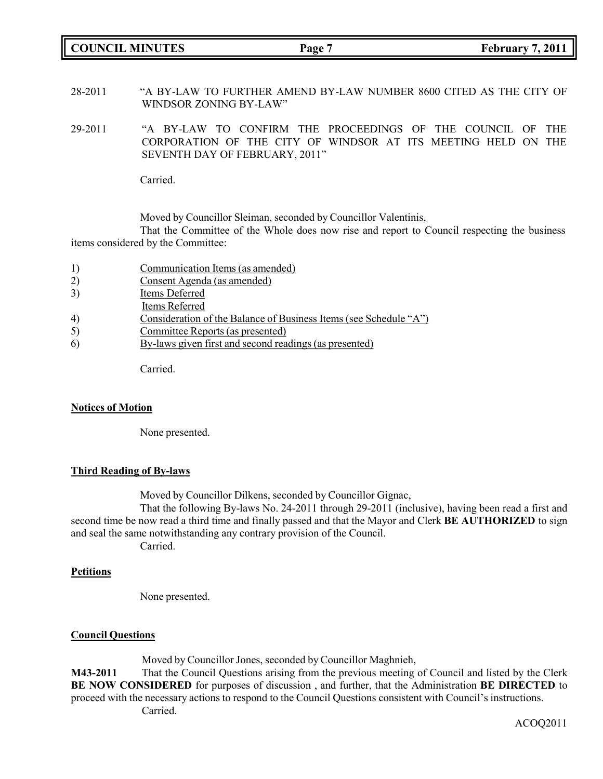**COUNCIL MINUTES Page 7 February 7, 2011**

28-2011 "A BY-LAW TO FURTHER AMEND BY-LAW NUMBER 8600 CITED AS THE CITY OF WINDSOR ZONING BY-LAW"

29-2011 "A BY-LAW TO CONFIRM THE PROCEEDINGS OF THE COUNCIL OF THE CORPORATION OF THE CITY OF WINDSOR AT ITS MEETING HELD ON THE SEVENTH DAY OF FEBRUARY, 2011"

Carried.

Moved by Councillor Sleiman, seconded by Councillor Valentinis,

That the Committee of the Whole does now rise and report to Council respecting the business items considered by the Committee:

- 2) Consent Agenda (as amended)
- 3) Items Deferred
- Items Referred
- 4) Consideration of the Balance of Business Items (see Schedule "A")
- 5) Committee Reports (as presented)
- 6) By-laws given first and second readings (as presented)

Carried.

#### **Notices of Motion**

None presented.

#### **Third Reading of By-laws**

Moved by Councillor Dilkens, seconded by Councillor Gignac,

That the following By-laws No. 24-2011 through 29-2011 (inclusive), having been read a first and second time be now read a third time and finally passed and that the Mayor and Clerk **BE AUTHORIZED** to sign and seal the same notwithstanding any contrary provision of the Council.

Carried.

#### **Petitions**

None presented.

## **Council Questions**

Moved by Councillor Jones, seconded by Councillor Maghnieh,

**M43-2011** That the Council Questions arising from the previous meeting of Council and listed by the Clerk **BE NOW CONSIDERED** for purposes of discussion , and further, that the Administration **BE DIRECTED** to proceed with the necessary actions to respond to the Council Questions consistent with Council's instructions. Carried.

ACOQ2011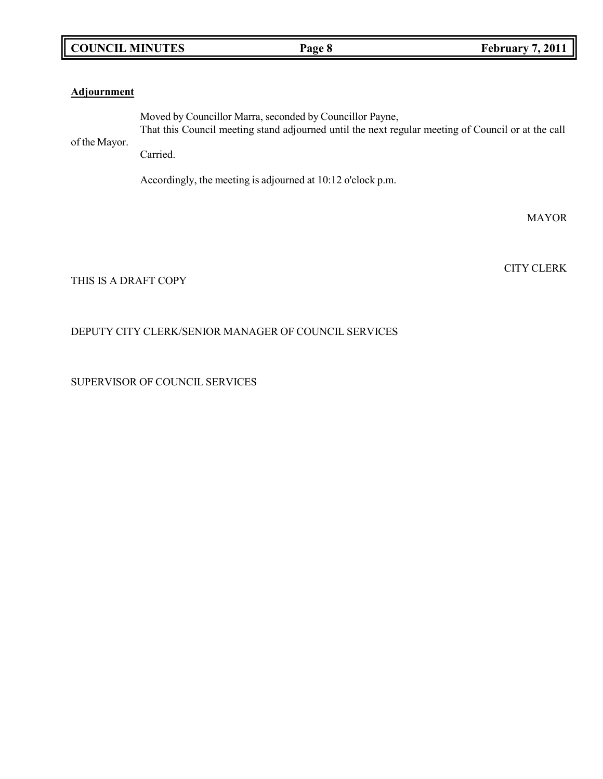# **COUNCIL MINUTES Page 8 February 7, 2011**

## **Adjournment**

of the Mayor. Moved by Councillor Marra, seconded by Councillor Payne, That this Council meeting stand adjourned until the next regular meeting of Council or at the call Carried.

Accordingly, the meeting is adjourned at 10:12 o'clock p.m.

MAYOR

CITY CLERK

THIS IS A DRAFT COPY

## DEPUTY CITY CLERK/SENIOR MANAGER OF COUNCIL SERVICES

SUPERVISOR OF COUNCIL SERVICES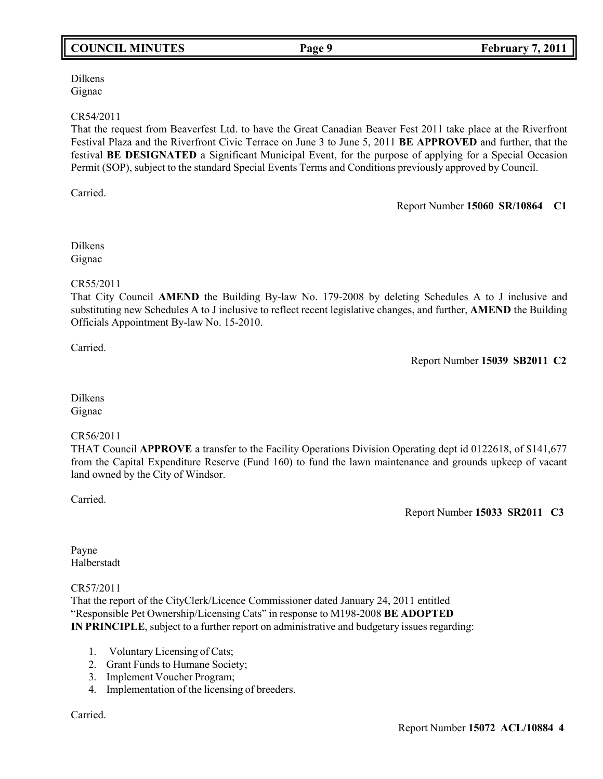# **COUNCIL MINUTES Page 9 February 7, 2011**

Dilkens Gignac

#### CR54/2011

That the request from Beaverfest Ltd. to have the Great Canadian Beaver Fest 2011 take place at the Riverfront Festival Plaza and the Riverfront Civic Terrace on June 3 to June 5, 2011 **BE APPROVED** and further, that the festival **BE DESIGNATED** a Significant Municipal Event, for the purpose of applying for a Special Occasion Permit (SOP), subject to the standard Special Events Terms and Conditions previously approved by Council.

Carried.

Report Number **15060 SR/10864 C1**

Dilkens Gignac

## CR55/2011

That City Council **AMEND** the Building By-law No. 179-2008 by deleting Schedules A to J inclusive and substituting new Schedules A to J inclusive to reflect recent legislative changes, and further, **AMEND** the Building Officials Appointment By-law No. 15-2010.

Carried.

Report Number **15039 SB2011 C2**

Dilkens Gignac

## CR56/2011

THAT Council **APPROVE** a transfer to the Facility Operations Division Operating dept id 0122618, of \$141,677 from the Capital Expenditure Reserve (Fund 160) to fund the lawn maintenance and grounds upkeep of vacant land owned by the City of Windsor.

Carried.

Report Number **15033 SR2011 C3**

Payne Halberstadt

## CR57/2011

That the report of the CityClerk/Licence Commissioner dated January 24, 2011 entitled "Responsible Pet Ownership/Licensing Cats" in response to M198-2008 **BE ADOPTED IN PRINCIPLE**, subject to a further report on administrative and budgetary issues regarding:

- 1. Voluntary Licensing of Cats;
- 2. Grant Funds to Humane Society;
- 3. Implement Voucher Program;
- 4. Implementation of the licensing of breeders.

Carried.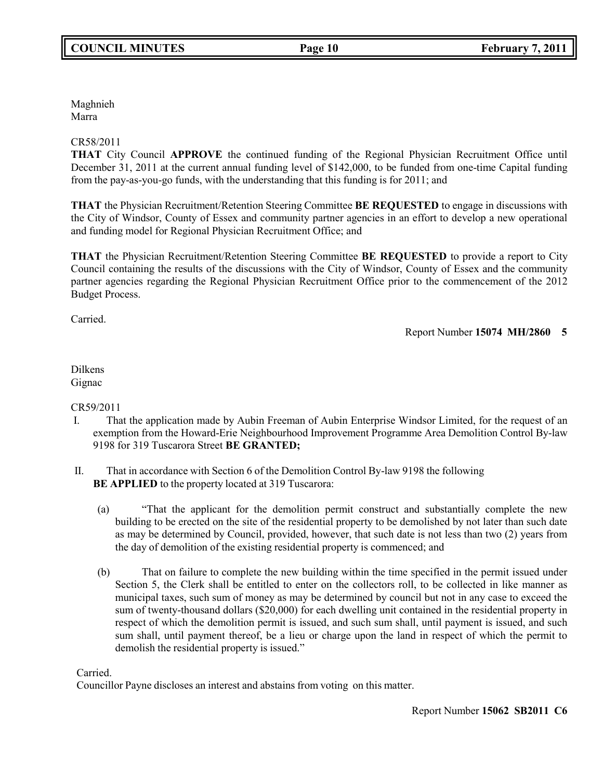Maghnieh Marra

## CR58/2011

**THAT** City Council **APPROVE** the continued funding of the Regional Physician Recruitment Office until December 31, 2011 at the current annual funding level of \$142,000, to be funded from one-time Capital funding from the pay-as-you-go funds, with the understanding that this funding is for 2011; and

**THAT** the Physician Recruitment/Retention Steering Committee **BE REQUESTED** to engage in discussions with the City of Windsor, County of Essex and community partner agencies in an effort to develop a new operational and funding model for Regional Physician Recruitment Office; and

**THAT** the Physician Recruitment/Retention Steering Committee **BE REQUESTED** to provide a report to City Council containing the results of the discussions with the City of Windsor, County of Essex and the community partner agencies regarding the Regional Physician Recruitment Office prior to the commencement of the 2012 Budget Process.

Carried.

Report Number **15074 MH/2860 5**

## Dilkens Gignac

## CR59/2011

- I. That the application made by Aubin Freeman of Aubin Enterprise Windsor Limited, for the request of an exemption from the Howard-Erie Neighbourhood Improvement Programme Area Demolition Control By-law 9198 for 319 Tuscarora Street **BE GRANTED;**
- II. That in accordance with Section 6 of the Demolition Control By-law 9198 the following **BE APPLIED** to the property located at 319 Tuscarora:
	- (a) "That the applicant for the demolition permit construct and substantially complete the new building to be erected on the site of the residential property to be demolished by not later than such date as may be determined by Council, provided, however, that such date is not less than two (2) years from the day of demolition of the existing residential property is commenced; and
	- (b) That on failure to complete the new building within the time specified in the permit issued under Section 5, the Clerk shall be entitled to enter on the collectors roll, to be collected in like manner as municipal taxes, such sum of money as may be determined by council but not in any case to exceed the sum of twenty-thousand dollars (\$20,000) for each dwelling unit contained in the residential property in respect of which the demolition permit is issued, and such sum shall, until payment is issued, and such sum shall, until payment thereof, be a lieu or charge upon the land in respect of which the permit to demolish the residential property is issued."

Carried.

Councillor Payne discloses an interest and abstains from voting on this matter.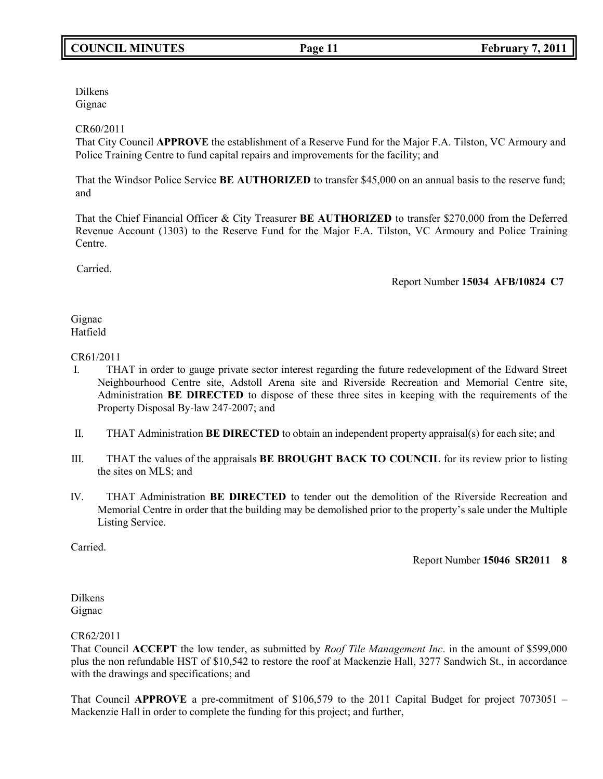Dilkens Gignac

## CR60/2011

That City Council **APPROVE** the establishment of a Reserve Fund for the Major F.A. Tilston, VC Armoury and Police Training Centre to fund capital repairs and improvements for the facility; and

That the Windsor Police Service **BE AUTHORIZED** to transfer \$45,000 on an annual basis to the reserve fund; and

That the Chief Financial Officer & City Treasurer **BE AUTHORIZED** to transfer \$270,000 from the Deferred Revenue Account (1303) to the Reserve Fund for the Major F.A. Tilston, VC Armoury and Police Training Centre.

Carried.

Report Number **15034 AFB/10824 C7**

#### Gignac Hatfield

## CR61/2011

- I. THAT in order to gauge private sector interest regarding the future redevelopment of the Edward Street Neighbourhood Centre site, Adstoll Arena site and Riverside Recreation and Memorial Centre site, Administration **BE DIRECTED** to dispose of these three sites in keeping with the requirements of the Property Disposal By-law 247-2007; and
- II. THAT Administration **BE DIRECTED** to obtain an independent property appraisal(s) for each site; and
- III. THAT the values of the appraisals **BE BROUGHT BACK TO COUNCIL** for its review prior to listing the sites on MLS; and
- IV. THAT Administration **BE DIRECTED** to tender out the demolition of the Riverside Recreation and Memorial Centre in order that the building may be demolished prior to the property's sale under the Multiple Listing Service.

Carried.

Report Number **15046 SR2011 8**

Dilkens Gignac

CR62/2011

That Council **ACCEPT** the low tender, as submitted by *Roof Tile Management Inc*. in the amount of \$599,000 plus the non refundable HST of \$10,542 to restore the roof at Mackenzie Hall, 3277 Sandwich St., in accordance with the drawings and specifications; and

That Council **APPROVE** a pre-commitment of \$106,579 to the 2011 Capital Budget for project 7073051 – Mackenzie Hall in order to complete the funding for this project; and further,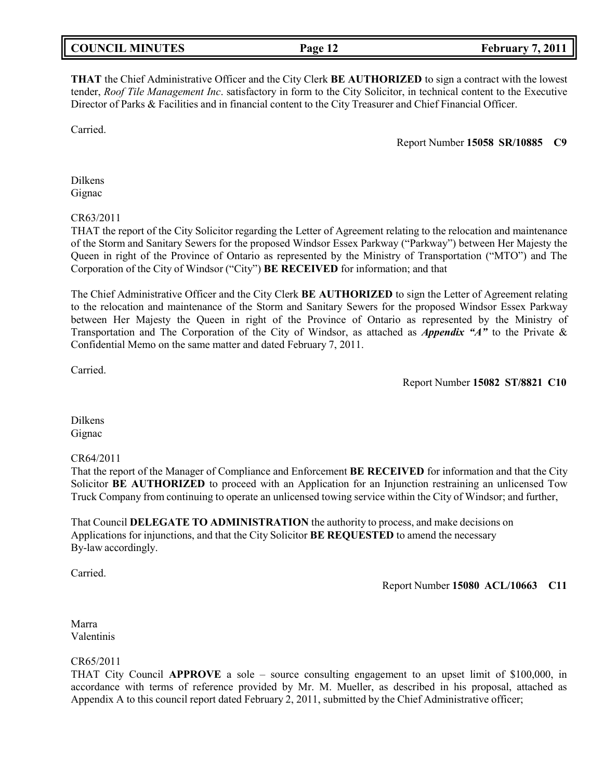| <b>COUNCIL MINUTES</b> | Page 12 | <b>February 7, 2011</b> |
|------------------------|---------|-------------------------|
|                        |         |                         |

**THAT** the Chief Administrative Officer and the City Clerk **BE AUTHORIZED** to sign a contract with the lowest tender, *Roof Tile Management Inc*. satisfactory in form to the City Solicitor, in technical content to the Executive Director of Parks & Facilities and in financial content to the City Treasurer and Chief Financial Officer.

Carried.

Report Number **15058 SR/10885 C9**

Dilkens Gignac

CR63/2011

THAT the report of the City Solicitor regarding the Letter of Agreement relating to the relocation and maintenance of the Storm and Sanitary Sewers for the proposed Windsor Essex Parkway ("Parkway") between Her Majesty the Queen in right of the Province of Ontario as represented by the Ministry of Transportation ("MTO") and The Corporation of the City of Windsor ("City") **BE RECEIVED** for information; and that

The Chief Administrative Officer and the City Clerk **BE AUTHORIZED** to sign the Letter of Agreement relating to the relocation and maintenance of the Storm and Sanitary Sewers for the proposed Windsor Essex Parkway between Her Majesty the Queen in right of the Province of Ontario as represented by the Ministry of Transportation and The Corporation of the City of Windsor, as attached as *Appendix "A"* to the Private & Confidential Memo on the same matter and dated February 7, 2011.

Carried.

Report Number **15082 ST/8821 C10**

Dilkens Gignac

## CR64/2011

That the report of the Manager of Compliance and Enforcement **BE RECEIVED** for information and that the City Solicitor **BE AUTHORIZED** to proceed with an Application for an Injunction restraining an unlicensed Tow Truck Company from continuing to operate an unlicensed towing service within the City of Windsor; and further,

That Council **DELEGATE TO ADMINISTRATION** the authority to process, and make decisions on Applications for injunctions, and that the City Solicitor **BE REQUESTED** to amend the necessary By-law accordingly.

Carried.

Report Number **15080 ACL/10663 C11**

Marra Valentinis

#### CR65/2011

THAT City Council **APPROVE** a sole – source consulting engagement to an upset limit of \$100,000, in accordance with terms of reference provided by Mr. M. Mueller, as described in his proposal, attached as Appendix A to this council report dated February 2, 2011, submitted by the Chief Administrative officer;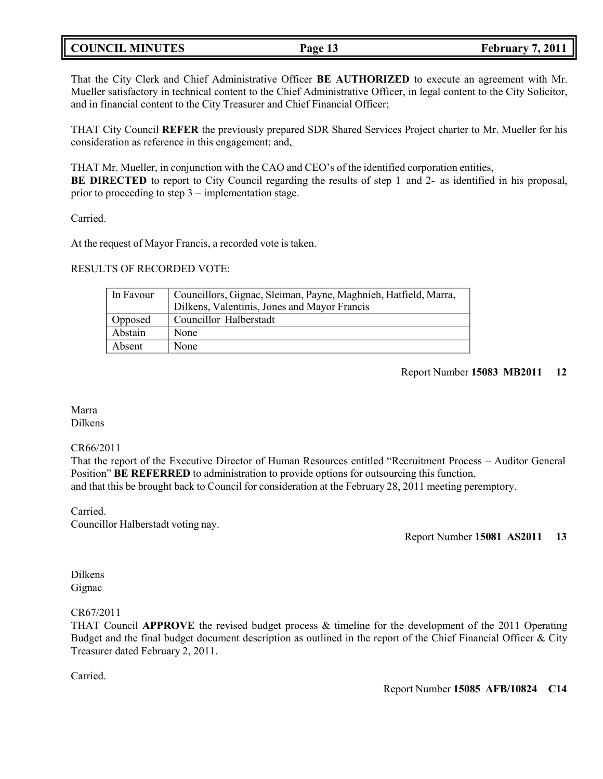# **COUNCIL MINUTES Page 13 February 7, 2011**

That the City Clerk and Chief Administrative Officer **BE AUTHORIZED** to execute an agreement with Mr. Mueller satisfactory in technical content to the Chief Administrative Officer, in legal content to the City Solicitor, and in financial content to the City Treasurer and Chief Financial Officer;

THAT City Council **REFER** the previously prepared SDR Shared Services Project charter to Mr. Mueller for his consideration as reference in this engagement; and,

THAT Mr. Mueller, in conjunction with the CAO and CEO's of the identified corporation entities, **BE DIRECTED** to report to City Council regarding the results of step 1 and 2- as identified in his proposal, prior to proceeding to step  $3$  – implementation stage.

Carried.

At the request of Mayor Francis, a recorded vote is taken.

## RESULTS OF RECORDED VOTE:

| In Favour | Councillors, Gignac, Sleiman, Payne, Maghnieh, Hatfield, Marra,<br>Dilkens, Valentinis, Jones and Mayor Francis |
|-----------|-----------------------------------------------------------------------------------------------------------------|
| Opposed   | Councillor Halberstadt                                                                                          |
| Abstain   | None                                                                                                            |
| Absent    | None                                                                                                            |

## Report Number **15083 MB2011 12**

#### Marra Dilkens

#### CR66/2011

That the report of the Executive Director of Human Resources entitled "Recruitment Process – Auditor General Position" **BE REFERRED** to administration to provide options for outsourcing this function, and that this be brought back to Council for consideration at the February 28, 2011 meeting peremptory.

Carried. Councillor Halberstadt voting nay.

Report Number **15081 AS2011 13**

Dilkens Gignac

#### CR67/2011

THAT Council **APPROVE** the revised budget process & timeline for the development of the 2011 Operating Budget and the final budget document description as outlined in the report of the Chief Financial Officer & City Treasurer dated February 2, 2011.

Carried.

Report Number **15085 AFB/10824 C14**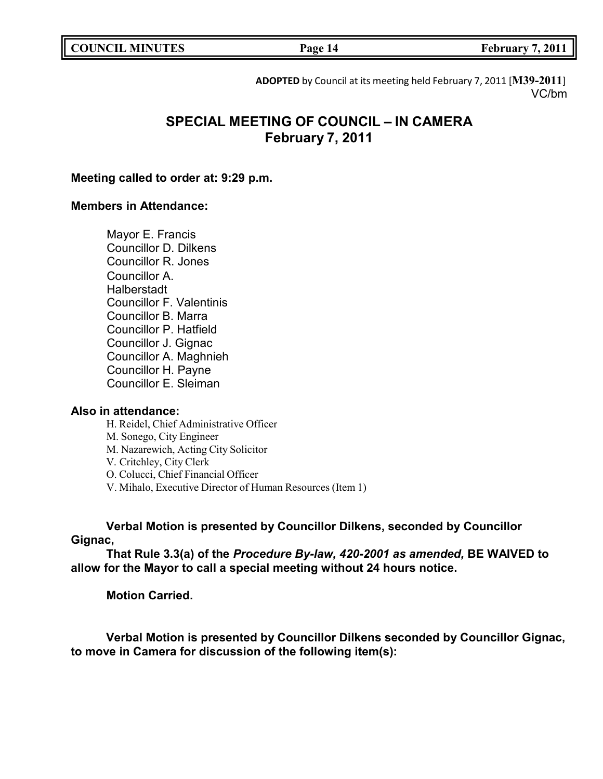**COUNCIL EXECUTE: Page 14 February 7, 2011** 

**ADOPTED** by Council at its meeting held February 7, 2011 [**M39-2011**] VC/bm

# **SPECIAL MEETING OF COUNCIL – IN CAMERA February 7, 2011**

## **Meeting called to order at: 9:29 p.m.**

## **Members in Attendance:**

Mayor E. Francis Councillor D. Dilkens Councillor R. Jones Councillor A. **Halberstadt** Councillor F. Valentinis Councillor B. Marra Councillor P. Hatfield Councillor J. Gignac Councillor A. Maghnieh Councillor H. Payne Councillor E. Sleiman

## **Also in attendance:**

H. Reidel, Chief Administrative Officer

M. Sonego, City Engineer

M. Nazarewich, Acting City Solicitor

V. Critchley, City Clerk

O. Colucci, Chief Financial Officer

V. Mihalo, Executive Director of Human Resources (Item 1)

**Verbal Motion is presented by Councillor Dilkens, seconded by Councillor Gignac,**

**That Rule 3.3(a) of the** *Procedure By-law, 420-2001 as amended,* **BE WAIVED to allow for the Mayor to call a special meeting without 24 hours notice.**

**Motion Carried.**

**Verbal Motion is presented by Councillor Dilkens seconded by Councillor Gignac, to move in Camera for discussion of the following item(s):**